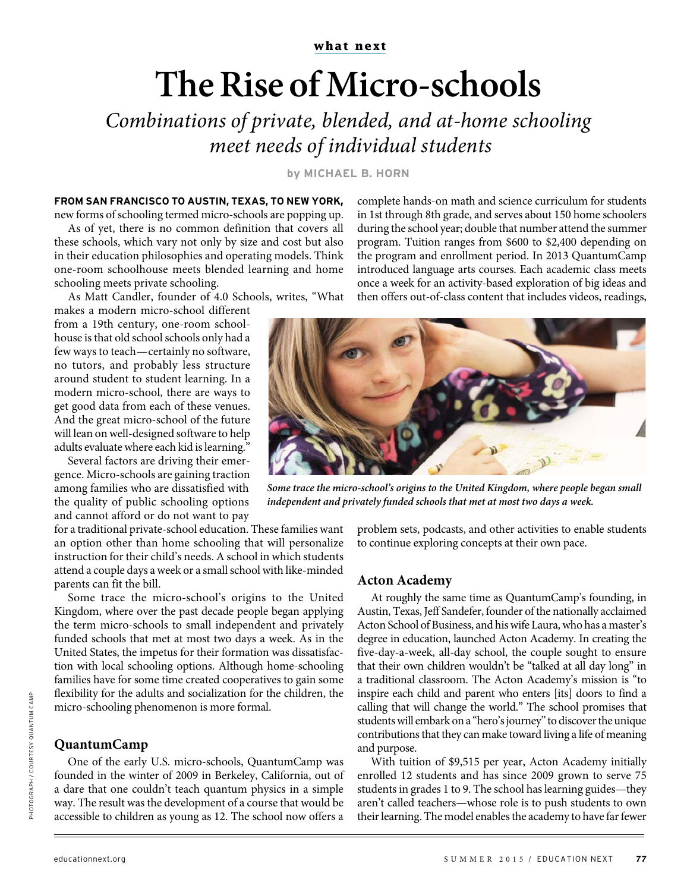# **The Rise of Micro-schools**

Combinations of private, blended, and at-home schooling meet needs of individual students

**by MICHAEL B. HORN**

### **FROM SAN FRANCISCO TO AUSTIN, TEXAS, TO NEW YORK,**

new forms of schooling termed micro-schools are popping up. As of yet, there is no common definition that covers all these schools, which vary not only by size and cost but also in their education philosophies and operating models. Think one-room schoolhouse meets blended learning and home schooling meets private schooling.

As Matt Candler, founder of 4.0 Schools, writes, "What

makes a modern micro-school different from a 19th century, one-room schoolhouse is that old school schools only had a few ways to teach—certainly no software, no tutors, and probably less structure around student to student learning. In a modern micro-school, there are ways to get good data from each of these venues. And the great micro-school of the future will lean on well-designed software to help adults evaluate where each kid is learning."

Several factors are driving their emergence. Micro-schools are gaining traction among families who are dissatisfied with the quality of public schooling options and cannot afford or do not want to pay

for a traditional private-school education. These families want an option other than home schooling that will personalize instruction for their child's needs. A school in which students attend a couple days a week or a small school with like-minded parents can fit the bill.

Some trace the micro-school's origins to the United Kingdom, where over the past decade people began applying the term micro-schools to small independent and privately funded schools that met at most two days a week. As in the United States, the impetus for their formation was dissatisfaction with local schooling options. Although home-schooling families have for some time created cooperatives to gain some flexibility for the adults and socialization for the children, the micro-schooling phenomenon is more formal.

#### **QuantumCamp**

One of the early U.S. micro-schools, QuantumCamp was founded in the winter of 2009 in Berkeley, California, out of a dare that one couldn't teach quantum physics in a simple way. The result was the development of a course that would be accessible to children as young as 12. The school now offers a

complete hands-on math and science curriculum for students in 1st through 8th grade, and serves about 150 home schoolers during the school year; double that number attend the summer program. Tuition ranges from \$600 to \$2,400 depending on the program and enrollment period. In 2013 QuantumCamp introduced language arts courses. Each academic class meets once a week for an activity-based exploration of big ideas and then offers out-of-class content that includes videos, readings,



**Some trace the micro-school's origins to the United Kingdom, where people began small independent and privately funded schools that met at most two days a week.**

problem sets, podcasts, and other activities to enable students to continue exploring concepts at their own pace.

#### **Acton Academy**

At roughly the same time as QuantumCamp's founding, in Austin, Texas, Jeff Sandefer, founder of the nationally acclaimed Acton School of Business, and his wife Laura, who has a master's degree in education, launched Acton Academy. In creating the five-day-a-week, all-day school, the couple sought to ensure that their own children wouldn't be "talked at all day long" in a traditional classroom. The Acton Academy's mission is "to inspire each child and parent who enters [its] doors to find a calling that will change the world." The school promises that students will embark on a "hero's journey" to discover the unique contributions that they can make toward living a life of meaning and purpose.

With tuition of \$9,515 per year, Acton Academy initially enrolled 12 students and has since 2009 grown to serve 75 students in grades 1 to 9. The school has learning guides—they aren't called teachers—whose role is to push students to own their learning. The model enables the academy to have far fewer